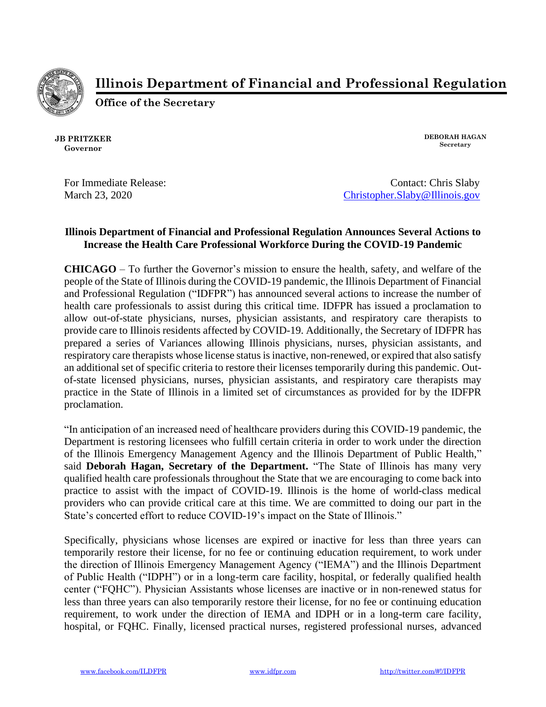

**Illinois Department of Financial and Professional Regulation**

**Office of the Secretary**

**JB PRITZKER Governor**

**DEBORAH HAGAN Secretary**

For Immediate Release: Contact: Chris Slaby March 23, 2020 [Christopher.Slaby@Illinois.gov](mailto:Christopher.Slaby@Illinois.gov)

## **Illinois Department of Financial and Professional Regulation Announces Several Actions to Increase the Health Care Professional Workforce During the COVID-19 Pandemic**

**CHICAGO** – To further the Governor's mission to ensure the health, safety, and welfare of the people of the State of Illinois during the COVID-19 pandemic, the Illinois Department of Financial and Professional Regulation ("IDFPR") has announced several actions to increase the number of health care professionals to assist during this critical time. IDFPR has issued a proclamation to allow out-of-state physicians, nurses, physician assistants, and respiratory care therapists to provide care to Illinois residents affected by COVID-19. Additionally, the Secretary of IDFPR has prepared a series of Variances allowing Illinois physicians, nurses, physician assistants, and respiratory care therapists whose license status is inactive, non-renewed, or expired that also satisfy an additional set of specific criteria to restore their licenses temporarily during this pandemic. Outof-state licensed physicians, nurses, physician assistants, and respiratory care therapists may practice in the State of Illinois in a limited set of circumstances as provided for by the IDFPR proclamation.

"In anticipation of an increased need of healthcare providers during this COVID-19 pandemic, the Department is restoring licensees who fulfill certain criteria in order to work under the direction of the Illinois Emergency Management Agency and the Illinois Department of Public Health," said **Deborah Hagan, Secretary of the Department.** "The State of Illinois has many very qualified health care professionals throughout the State that we are encouraging to come back into practice to assist with the impact of COVID-19. Illinois is the home of world-class medical providers who can provide critical care at this time. We are committed to doing our part in the State's concerted effort to reduce COVID-19's impact on the State of Illinois."

Specifically, physicians whose licenses are expired or inactive for less than three years can temporarily restore their license, for no fee or continuing education requirement, to work under the direction of Illinois Emergency Management Agency ("IEMA") and the Illinois Department of Public Health ("IDPH") or in a long-term care facility, hospital, or federally qualified health center ("FQHC"). Physician Assistants whose licenses are inactive or in non-renewed status for less than three years can also temporarily restore their license, for no fee or continuing education requirement, to work under the direction of IEMA and IDPH or in a long-term care facility, hospital, or FQHC. Finally, licensed practical nurses, registered professional nurses, advanced